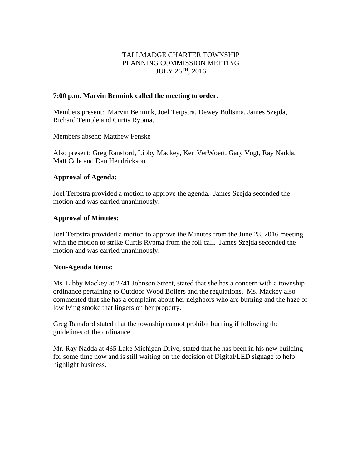# TALLMADGE CHARTER TOWNSHIP PLANNING COMMISSION MEETING JULY 26TH, 2016

#### **7:00 p.m. Marvin Bennink called the meeting to order.**

Members present: Marvin Bennink, Joel Terpstra, Dewey Bultsma, James Szejda, Richard Temple and Curtis Rypma.

Members absent: Matthew Fenske

Also present: Greg Ransford, Libby Mackey, Ken VerWoert, Gary Vogt, Ray Nadda, Matt Cole and Dan Hendrickson.

## **Approval of Agenda:**

Joel Terpstra provided a motion to approve the agenda. James Szejda seconded the motion and was carried unanimously.

## **Approval of Minutes:**

Joel Terpstra provided a motion to approve the Minutes from the June 28, 2016 meeting with the motion to strike Curtis Rypma from the roll call. James Szejda seconded the motion and was carried unanimously.

#### **Non-Agenda Items:**

Ms. Libby Mackey at 2741 Johnson Street, stated that she has a concern with a township ordinance pertaining to Outdoor Wood Boilers and the regulations. Ms. Mackey also commented that she has a complaint about her neighbors who are burning and the haze of low lying smoke that lingers on her property.

Greg Ransford stated that the township cannot prohibit burning if following the guidelines of the ordinance.

Mr. Ray Nadda at 435 Lake Michigan Drive, stated that he has been in his new building for some time now and is still waiting on the decision of Digital/LED signage to help highlight business.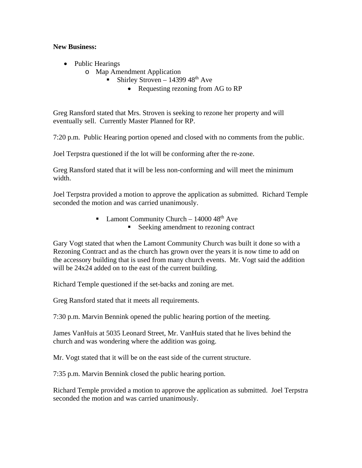## **New Business:**

- Public Hearings
	- o Map Amendment Application
		- Shirley Stroven 14399  $48<sup>th</sup>$  Ave
			- Requesting rezoning from AG to RP

Greg Ransford stated that Mrs. Stroven is seeking to rezone her property and will eventually sell. Currently Master Planned for RP.

7:20 p.m. Public Hearing portion opened and closed with no comments from the public.

Joel Terpstra questioned if the lot will be conforming after the re-zone.

Greg Ransford stated that it will be less non-conforming and will meet the minimum width.

Joel Terpstra provided a motion to approve the application as submitted. Richard Temple seconded the motion and was carried unanimously.

- **Lamont Community Church 14000 48th Ave** 
	- Seeking amendment to rezoning contract

Gary Vogt stated that when the Lamont Community Church was built it done so with a Rezoning Contract and as the church has grown over the years it is now time to add on the accessory building that is used from many church events. Mr. Vogt said the addition will be 24x24 added on to the east of the current building.

Richard Temple questioned if the set-backs and zoning are met.

Greg Ransford stated that it meets all requirements.

7:30 p.m. Marvin Bennink opened the public hearing portion of the meeting.

James VanHuis at 5035 Leonard Street, Mr. VanHuis stated that he lives behind the church and was wondering where the addition was going.

Mr. Vogt stated that it will be on the east side of the current structure.

7:35 p.m. Marvin Bennink closed the public hearing portion.

Richard Temple provided a motion to approve the application as submitted. Joel Terpstra seconded the motion and was carried unanimously.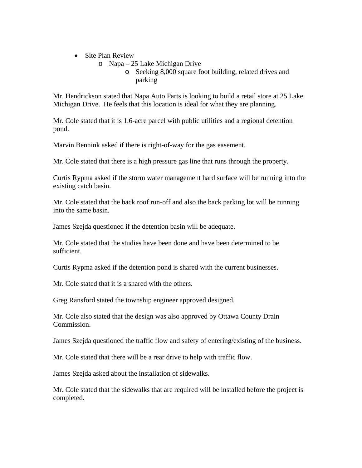- Site Plan Review
	- o Napa 25 Lake Michigan Drive
		- o Seeking 8,000 square foot building, related drives and parking

Mr. Hendrickson stated that Napa Auto Parts is looking to build a retail store at 25 Lake Michigan Drive. He feels that this location is ideal for what they are planning.

Mr. Cole stated that it is 1.6-acre parcel with public utilities and a regional detention pond.

Marvin Bennink asked if there is right-of-way for the gas easement.

Mr. Cole stated that there is a high pressure gas line that runs through the property.

Curtis Rypma asked if the storm water management hard surface will be running into the existing catch basin.

Mr. Cole stated that the back roof run-off and also the back parking lot will be running into the same basin.

James Szejda questioned if the detention basin will be adequate.

Mr. Cole stated that the studies have been done and have been determined to be sufficient.

Curtis Rypma asked if the detention pond is shared with the current businesses.

Mr. Cole stated that it is a shared with the others.

Greg Ransford stated the township engineer approved designed.

Mr. Cole also stated that the design was also approved by Ottawa County Drain Commission.

James Szejda questioned the traffic flow and safety of entering/existing of the business.

Mr. Cole stated that there will be a rear drive to help with traffic flow.

James Szejda asked about the installation of sidewalks.

Mr. Cole stated that the sidewalks that are required will be installed before the project is completed.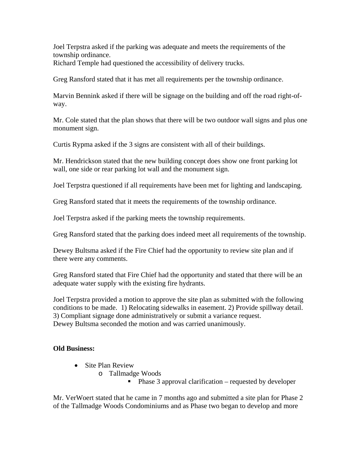Joel Terpstra asked if the parking was adequate and meets the requirements of the township ordinance. Richard Temple had questioned the accessibility of delivery trucks.

Greg Ransford stated that it has met all requirements per the township ordinance.

Marvin Bennink asked if there will be signage on the building and off the road right-ofway.

Mr. Cole stated that the plan shows that there will be two outdoor wall signs and plus one monument sign.

Curtis Rypma asked if the 3 signs are consistent with all of their buildings.

Mr. Hendrickson stated that the new building concept does show one front parking lot wall, one side or rear parking lot wall and the monument sign.

Joel Terpstra questioned if all requirements have been met for lighting and landscaping.

Greg Ransford stated that it meets the requirements of the township ordinance.

Joel Terpstra asked if the parking meets the township requirements.

Greg Ransford stated that the parking does indeed meet all requirements of the township.

Dewey Bultsma asked if the Fire Chief had the opportunity to review site plan and if there were any comments.

Greg Ransford stated that Fire Chief had the opportunity and stated that there will be an adequate water supply with the existing fire hydrants.

Joel Terpstra provided a motion to approve the site plan as submitted with the following conditions to be made. 1) Relocating sidewalks in easement. 2) Provide spillway detail. 3) Compliant signage done administratively or submit a variance request. Dewey Bultsma seconded the motion and was carried unanimously.

## **Old Business:**

- Site Plan Review
	- o Tallmadge Woods
		- $\blacksquare$  Phase 3 approval clarification requested by developer

Mr. VerWoert stated that he came in 7 months ago and submitted a site plan for Phase 2 of the Tallmadge Woods Condominiums and as Phase two began to develop and more